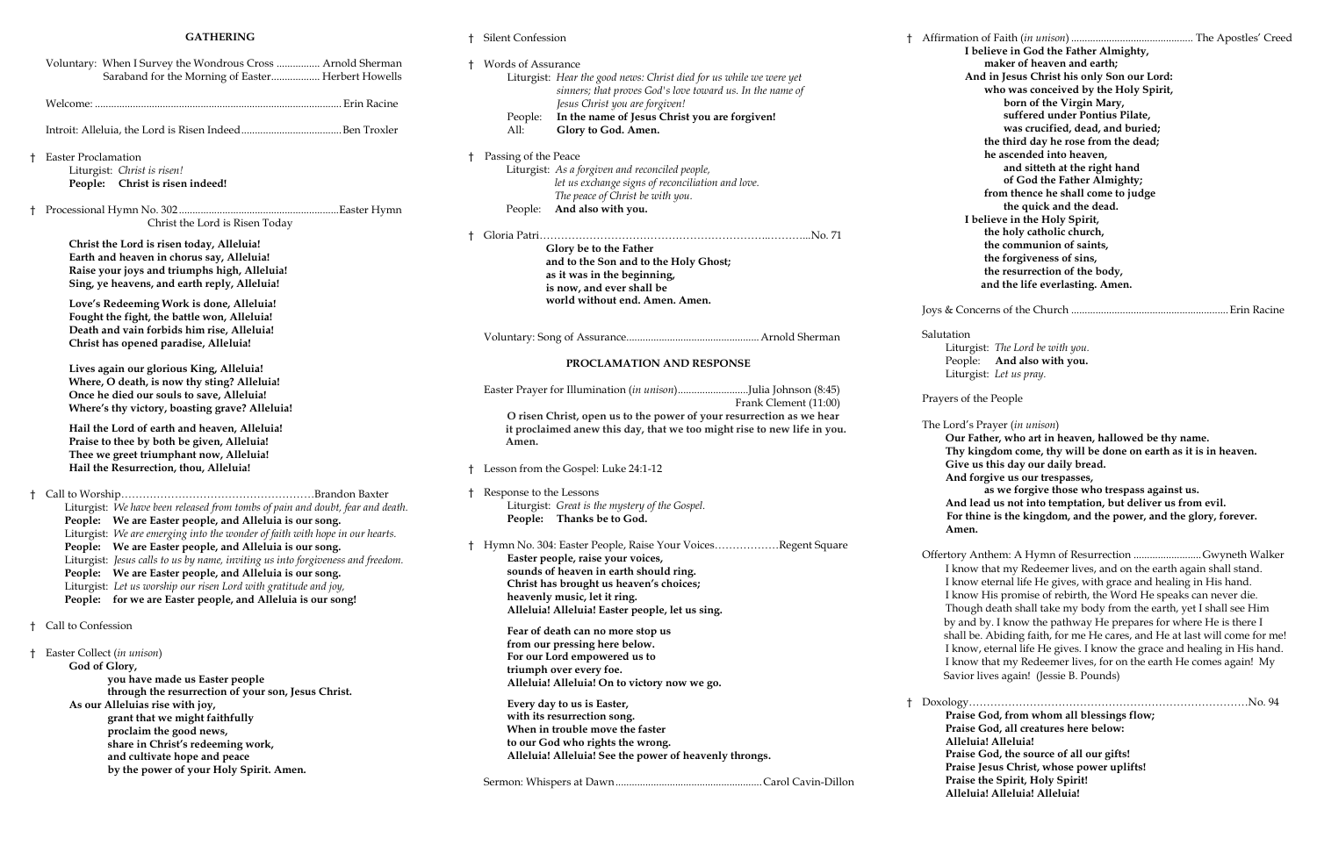#### **GATHERING**

|    | Voluntary: When I Survey the Wondrous Cross  Arnold Sherman<br>Saraband for the Morning of Easter Herbert Howells                                                                                                                                                                                                                                                                                                              | t. | Words of Assurai<br>Liturgist: He                                                                |
|----|--------------------------------------------------------------------------------------------------------------------------------------------------------------------------------------------------------------------------------------------------------------------------------------------------------------------------------------------------------------------------------------------------------------------------------|----|--------------------------------------------------------------------------------------------------|
|    |                                                                                                                                                                                                                                                                                                                                                                                                                                |    | sir<br>Jes                                                                                       |
|    |                                                                                                                                                                                                                                                                                                                                                                                                                                |    | People:<br>In<br>All:<br>G                                                                       |
| Ť. | <b>Easter Proclamation</b><br>Liturgist: Christ is risen!<br>People: Christ is risen indeed!                                                                                                                                                                                                                                                                                                                                   | Ť. | Passing of the Pea<br>Liturgist: As<br>let<br>Th                                                 |
| Ť  | Christ the Lord is Risen Today                                                                                                                                                                                                                                                                                                                                                                                                 |    | People:<br>Ar                                                                                    |
|    | Christ the Lord is risen today, Alleluia!<br>Earth and heaven in chorus say, Alleluia!<br>Raise your joys and triumphs high, Alleluia!<br>Sing, ye heavens, and earth reply, Alleluia!                                                                                                                                                                                                                                         | t. | Gloria Patri<br>Glor<br>and<br>as it<br>is no                                                    |
|    | Love's Redeeming Work is done, Alleluia!<br>Fought the fight, the battle won, Alleluia!<br>Death and vain forbids him rise, Alleluia!<br>Christ has opened paradise, Alleluia!                                                                                                                                                                                                                                                 |    | worl<br>Voluntary: Song o                                                                        |
|    | Lives again our glorious King, Alleluia!                                                                                                                                                                                                                                                                                                                                                                                       |    |                                                                                                  |
|    | Where, O death, is now thy sting? Alleluia!<br>Once he died our souls to save, Alleluia!                                                                                                                                                                                                                                                                                                                                       |    | Easter Prayer for                                                                                |
|    | Where's thy victory, boasting grave? Alleluia!<br>Hail the Lord of earth and heaven, Alleluia!<br>Praise to thee by both be given, Alleluia!<br>Thee we greet triumphant now, Alleluia!                                                                                                                                                                                                                                        |    | O risen Chri<br>it proclaimed<br>Amen.                                                           |
|    | Hail the Resurrection, thou, Alleluia!                                                                                                                                                                                                                                                                                                                                                                                         | Ť  | Lesson from the C                                                                                |
| t  | Liturgist: We have been released from tombs of pain and doubt, fear and death.<br>People: We are Easter people, and Alleluia is our song.                                                                                                                                                                                                                                                                                      | Ť  | Response to the L<br>Liturgist: Gr<br>People: Th                                                 |
|    | Liturgist: We are emerging into the wonder of faith with hope in our hearts.<br>We are Easter people, and Alleluia is our song.<br>People:<br>Liturgist: Jesus calls to us by name, inviting us into forgiveness and freedom.<br>People:<br>We are Easter people, and Alleluia is our song.<br>Liturgist: Let us worship our risen Lord with gratitude and joy,<br>People: for we are Easter people, and Alleluia is our song! | Ť. | Hymn No. 304: Ea<br>Easter peopl<br>sounds of he<br>Christ has b<br>heavenly mu<br>Alleluia! All |
| Ť. | Call to Confession                                                                                                                                                                                                                                                                                                                                                                                                             |    | Fear of deatl                                                                                    |
|    | Easter Collect (in unison)<br>God of Glory,<br>you have made us Easter people                                                                                                                                                                                                                                                                                                                                                  |    | from our pre<br>For our Lord<br>triumph ove<br>Alleluia! All                                     |
|    | through the resurrection of your son, Jesus Christ.<br>As our Alleluias rise with joy,<br>grant that we might faithfully<br>proclaim the good news,<br>share in Christ's redeeming work,<br>and cultivate hope and peace                                                                                                                                                                                                       |    | Every day to<br>with its resu<br>When in tro<br>to our God v<br>Alleluia! All                    |
|    | by the power of your Holy Spirit. Amen.                                                                                                                                                                                                                                                                                                                                                                                        |    | Sermon: Whisper                                                                                  |

† Silent Confession

fist: *The Lord be with you.* e: **And also with you.** Liturgist: *Let us pray.*

the People

Prayer (*in unison*)

ather, who art in heaven, hallowed be thy name. **Thy kingdom come, thy will be done on earth as it is in heaven. Give us this day our daily bread. And forgive us our trespasses,**

|   |                                                                                               |   | I b                    |
|---|-----------------------------------------------------------------------------------------------|---|------------------------|
| t | Words of Assurance                                                                            |   |                        |
|   | Liturgist: Hear the good news: Christ died for us while we were yet                           |   | Ar                     |
|   | sinners; that proves God's love toward us. In the name of<br>Jesus Christ you are forgiven!   |   |                        |
|   | In the name of Jesus Christ you are forgiven!<br>People:                                      |   |                        |
|   | All:<br>Glory to God. Amen.                                                                   |   |                        |
|   |                                                                                               |   |                        |
| t | Passing of the Peace                                                                          |   |                        |
|   | Liturgist: As a forgiven and reconciled people,                                               |   |                        |
|   | let us exchange signs of reconciliation and love.                                             |   |                        |
|   | The peace of Christ be with you.<br>And also with you.<br>People:                             |   |                        |
|   |                                                                                               |   | I b                    |
| t |                                                                                               |   |                        |
|   | Glory be to the Father                                                                        |   |                        |
|   | and to the Son and to the Holy Ghost;                                                         |   |                        |
|   | as it was in the beginning,                                                                   |   |                        |
|   | is now, and ever shall be                                                                     |   |                        |
|   | world without end. Amen. Amen.                                                                |   | Joys & Cone            |
|   |                                                                                               |   |                        |
|   |                                                                                               |   | Salutation             |
|   |                                                                                               |   | Liturgi                |
|   | PROCLAMATION AND RESPONSE                                                                     |   | People                 |
|   |                                                                                               |   | Liturgi                |
|   | Easter Prayer for Illumination (in unison)Julia Johnson (8:45)                                |   | Prayers of t           |
|   | Frank Clement (11:00)<br>O risen Christ, open us to the power of your resurrection as we hear |   |                        |
|   | it proclaimed anew this day, that we too might rise to new life in you.                       |   | The Lord's I           |
|   | Amen.                                                                                         |   | Our Fa                 |
|   |                                                                                               |   | Thy ki                 |
|   | t Lesson from the Gospel: Luke 24:1-12                                                        |   | Give u                 |
|   |                                                                                               |   | And fo                 |
|   | † Response to the Lessons                                                                     |   | And le                 |
|   | Liturgist: Great is the mystery of the Gospel.<br>People: Thanks be to God.                   |   | For thi                |
|   |                                                                                               |   | Amen.                  |
| Ť | Hymn No. 304: Easter People, Raise Your VoicesRegent Square                                   |   |                        |
|   | Easter people, raise your voices,                                                             |   | Offertory A            |
|   | sounds of heaven in earth should ring.                                                        |   | I know                 |
|   | Christ has brought us heaven's choices;                                                       |   | I know                 |
|   | heavenly music, let it ring.                                                                  |   | I know                 |
|   | Alleluia! Alleluia! Easter people, let us sing.                                               |   | <b>Thoug</b><br>by and |
|   | Fear of death can no more stop us                                                             |   | shall be               |
|   | from our pressing here below.                                                                 |   | I know                 |
|   | For our Lord empowered us to                                                                  |   | I know                 |
|   | triumph over every foe.                                                                       |   | Savior                 |
|   | Alleluia! Alleluia! On to victory now we go.                                                  |   |                        |
|   | Every day to us is Easter,                                                                    | t | Doxology               |
|   | with its resurrection song.                                                                   |   | Praise                 |
|   | When in trouble move the faster                                                               |   | Praise                 |
|   | to our God who rights the wrong.<br>Alleluia! Alleluia! See the power of heavenly throngs.    |   | Allelu:<br>Praise      |
|   |                                                                                               |   | Praise                 |
|   |                                                                                               |   | Praise                 |
|   |                                                                                               |   |                        |

† Affirmation of Faith (*in unison*) ............................................. The Apostles' Creed **I believe in God the Father Almighty, maker of heaven and earth; And in Jesus Christ his only Son our Lord: who was conceived by the Holy Spirit, born of the Virgin Mary, suffered under Pontius Pilate, was crucified, dead, and buried; the third day he rose from the dead; he ascended into heaven, and sitteth at the right hand of God the Father Almighty; from thence he shall come to judge the quick and the dead. I believe in the Holy Spirit, the holy catholic church, the communion of saints, the forgiveness of sins, the resurrection of the body, and the life everlasting. Amen.**

Joys & Concerns of the Church ..........................................................Erin Racine

**as we forgive those who trespass against us.** ead us not into temptation, but deliver us from evil.  **For thine is the kingdom, and the power, and the glory, forever.** 

Anthem: A Hymn of Resurrection ..........................Gwyneth Walker w that my Redeemer lives, and on the earth again shall stand. w eternal life He gives, with grace and healing in His hand. v His promise of rebirth, the Word He speaks can never die. zh death shall take my body from the earth, yet I shall see Him l by. I know the pathway He prepares for where He is there I be. Abiding faith, for me He cares, and He at last will come for me! w, eternal life He gives. I know the grace and healing in His hand. w that my Redeemer lives, for on the earth He comes again! My Iives again! (Jessie B. Pounds)

† Doxology……………………………………………………………………No. 94 **Praise God, from whom all blessings flow; Praise God, all creatures here below: Alleluia! Alleluia! Prod, the source of all our gifts! Praise Shrist, whose power uplifts! the Spirit, Holy Spirit! Alleluia! Alleluia! Alleluia!**